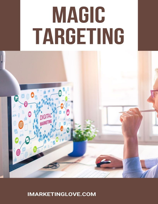# MAGIC TARGETING



**IMARKETINGLOVE.COM**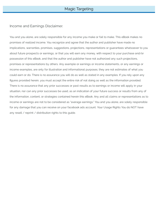### Income and Earnings Disclaimer.

the information, content, or strategies contained herein this eBook. Any and all claims or representations as to income or earnings are not to be considered as "average earnings." You and you alone, are solely responsible for any damage that you can receive on your facebook ads account. Your Usage Rights You do NOT have any resell / reprint / distribution rights to this guide. You and you alone, are solely responsible for any income you make or fail to make. This eBook makes no promises of realized income. You recognize and agree that the author and publisher have made no implications, warranties, promises, suggestions, projections, representations or guarantees whatsoever to you about future prospects or earnings, or that you will earn any money, with respect to your purchase and/or possession of this eBook, and that the author and publisher have not authorized any such projections, promises or representations by others. Any example or earnings or income statements, or any earnings or income examples, are only for illustration and informational purposes; they are not estimates of what you could earn or do. There is no assurance you will do as well as stated in any examples. If you rely upon any figures provided herein, you must accept the entire risk of not doing as well as the information provided. There is no assurance that any prior successes or past results as to earnings or income will apply in your situation, nor can any prior successes be used, as an indication of your future success or results from any of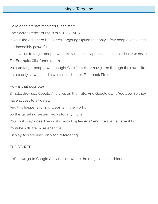Hello dear internet marketers, let's start!

The Secret Traffic Source is YOUTUBE ADS!

In Youtube Ads there is a Secret Targeting Option that only a few people know and it is incredibly powerful.

It allows us to target people who like (and usually purchase) on a particular website. For Example: Clickfunnels.com

We can target people who bought Clickfunnels or navigated through their website.

It is exactly as we could have access to their Facebook Pixel.

How is that possible?

Simple, they use Google Analytics on their site. And Google owns Youtube. So they have access to all datas.

And this happens for any website in the world.

So this targeting system works for any niche.

You could say: does it work also with Display Ads? And the answer is yes! But

Youtube Ads are more effective.

Display Ads are used only for Retargeting.

# THE SECRET

Let's now go to Google Ads and see where the magic option is hidden: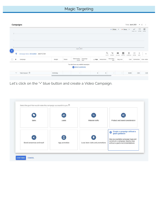| $\overline{c}$   |                                         |               |        |                                                      |                  |                    |                    |                     | - Clicks $\sqrt{*}$ - None $\sqrt{*}$ |               |                           | $\overline{\phantom{a}}$<br>CHART TYPE | $\mathbb{Z}^2$<br>EXPAND | 辈<br>ADJUST |
|------------------|-----------------------------------------|---------------|--------|------------------------------------------------------|------------------|--------------------|--------------------|---------------------|---------------------------------------|---------------|---------------------------|----------------------------------------|--------------------------|-------------|
|                  |                                         |               |        |                                                      |                  |                    |                    |                     |                                       |               |                           |                                        |                          |             |
|                  |                                         |               |        |                                                      |                  |                    |                    |                     |                                       |               |                           |                                        |                          |             |
| $0 -$            |                                         |               |        | Apr 6, 2021                                          |                  |                    |                    |                     |                                       |               |                           |                                        |                          |             |
|                  | Campaign status: All enabled ADD FILTER |               |        |                                                      |                  |                    | $\alpha$<br>SEARCH | $\equiv$<br>SEGMENT | ш<br>COLUMNS                          | 圆<br>REPORTS. | $\frac{1}{2}$<br>DOWNLOAD | 븝<br>EXPAND                            | š<br>-MORE               | $\wedge$    |
| O.<br>$^{\circ}$ | Campaign                                | <b>Budget</b> | Status | Optimization<br>score                                | Campaign<br>type | $\downarrow$ Impr. | Interactions       | Interaction<br>rate | Avg. cost                             |               | Cost                      | Conversion:                            |                          | Conv. value |
|                  |                                         |               |        | You don't have any enabled campaigns<br>NEW CAMPAIGN |                  |                    |                    |                     |                                       |               |                           |                                        |                          |             |
|                  |                                         |               |        |                                                      |                  | $\,0\,$            | $\bf{0}$           |                     |                                       |               | €0.00                     |                                        | 0.00                     | 0.00        |

Let's click on the "+" blue button and create a Video Campaign.

|                           | 靐                  | 泼                                 |                                                                                                                                                                             |
|---------------------------|--------------------|-----------------------------------|-----------------------------------------------------------------------------------------------------------------------------------------------------------------------------|
| Sales                     | Leads              | Website traffic                   | Product and brand consideration                                                                                                                                             |
| Brand awareness and reach | ⊡<br>App promotion | Local store visits and promotions | Create a campaign without a<br>goal's guidance<br>$\bullet$<br>Use any available campaign type and<br>construct a campaign step-by-step<br>without a goal's recommendations |
|                           |                    |                                   |                                                                                                                                                                             |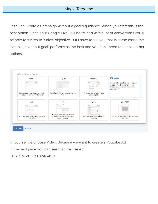Let's use Create a Campaign without a goal's guidance. When you start this is the best option. Once Your Google Pixel will be trained with a lot of conversions you'll be able to switch to "Sales" objective. But I have to tell you that In some cases the "campaign without goal" performs as the best and you don't need to choose other options.



Of course, we choose Video. Because we want to create a Youtube Ad.

In the next page you can see that we'll select:

CUSTOM VIDEO CAMPAIGN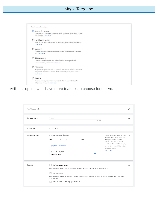

With this option we'll have more features to choose for our Ad.

| Type: Video campaign |                                                                                                                                                                                                                                           |                                                                                                                                                                                                                                   |              |
|----------------------|-------------------------------------------------------------------------------------------------------------------------------------------------------------------------------------------------------------------------------------------|-----------------------------------------------------------------------------------------------------------------------------------------------------------------------------------------------------------------------------------|--------------|
| Campaign name        | VideoAd1<br>8/128                                                                                                                                                                                                                         |                                                                                                                                                                                                                                   | ㅅ            |
| <b>Bid strategy</b>  | Maximum CPV                                                                                                                                                                                                                               |                                                                                                                                                                                                                                   | $\checkmark$ |
| Budget and dates     | Enter budget type and amount<br>€<br>10.00<br>Daily<br>$\overline{\phantom{a}}$<br>Apply from Shared library                                                                                                                              | For the month, you won't pay more<br>than your daily budget times the<br>average number of days in a<br>month. Some days you might<br>spend less than your daily budget,<br>and on others you might spend up<br>to twice as much. | $\sim$       |
|                      | Start date: 4/6/2021<br><b>EDIT</b><br>End date: None                                                                                                                                                                                     | Learn more                                                                                                                                                                                                                        |              |
| Networks             | YouTube search results                                                                                                                                                                                                                    |                                                                                                                                                                                                                                   | ́            |
|                      | Ads can appear next to search results on YouTube. You can use video discovery ads only.<br>YouTube videos<br>Ads can appear on YouTube videos, channel pages, and the YouTube homepage. You can use in-stream and video<br>discovery ads. |                                                                                                                                                                                                                                   |              |
|                      | Video partners on the Display Network 2                                                                                                                                                                                                   |                                                                                                                                                                                                                                   |              |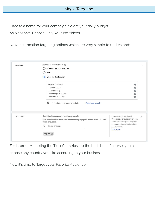Choose a name for your campaign. Select your daily budget.

As Networks: Choose Only Youtube videos.

Now the Location targeting options which are very simple to understand:

| Locations | Select locations to target ②<br>All countries and territories<br>Italy<br>Enter another location<br>۰                                                                              | ⋏                                                                                                                                                                                 |
|-----------|------------------------------------------------------------------------------------------------------------------------------------------------------------------------------------|-----------------------------------------------------------------------------------------------------------------------------------------------------------------------------------|
|           | Targeted locations (4)<br>Australia country<br>Canada country<br>United Kingdom country<br>United States country<br>Advanced search<br>Enter a location to target or exclude<br>Q  | $\circledcirc$<br>$\circledcirc$<br>$\circledcirc$<br>Ø<br>O                                                                                                                      |
| Languages | Select the languages your customers speak.<br>Your ads show to customers with these language preferences, or on sites with<br>these languages.<br>Q<br>Enter a language<br>English | To show ads to people with<br>$\wedge$<br>Spanish as a language preference,<br>select Spanish as your campaign<br>language and use Spanish ad text<br>and keywords.<br>Learn more |

For Internet Marketing the Tier1 Countries are the best, but, of course, you can choose any country you like according to your business.

Now it's time to Target your Favorite Audience: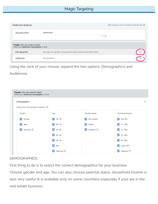| Create your ad group                                                         |                                                                | Skip ad group and ad creation (advanced) ? |
|------------------------------------------------------------------------------|----------------------------------------------------------------|--------------------------------------------|
| Ad group name                                                                | VideoGroup1<br>11/255                                          |                                            |
| People: who you want to reach<br>Define your Audiences, Demographic, or both |                                                                |                                            |
| Demographics                                                                 | Any age, Any gender, Any parental status, Any household income |                                            |
| Audiences                                                                    | Any audience                                                   |                                            |

Using the click of your mouse, expand the two options: Demographics and

Audiences.

| Demographics                                |                                      |                           |                                    |
|---------------------------------------------|--------------------------------------|---------------------------|------------------------------------|
| Select your demographic targeting $\oslash$ |                                      |                           |                                    |
| Gender                                      | Age                                  | Parental status           | Household income                   |
| Female<br>✓                                 | $18 - 24$<br>$\checkmark$            | Not a parent              | Top 10%<br>$\checkmark$            |
| $\checkmark$<br>Male                        | $\overline{\mathbf{v}}$<br>$25 - 34$ | Parent<br>$\checkmark$    | $11 - 20%$<br>$\checkmark$         |
| Unknown 2<br>$\checkmark$                   | $\vee$<br>$35 - 44$                  | Unknown 2<br>$\checkmark$ | $21 - 30\%$<br>$\checkmark$        |
|                                             | $\blacktriangledown$<br>$45 - 54$    |                           | $\blacktriangledown$<br>$31 - 40%$ |
|                                             | $\blacktriangledown$<br>$55 - 64$    |                           | $41 - 50\%$<br>$\vee$              |
|                                             | $\blacktriangledown$<br>$65+$        |                           | Lower 50%<br>$\checkmark$          |
|                                             | Unknown 2<br>$\checkmark$            |                           | Unknown 2<br>$\checkmark$          |

### DEMOGRAPHICS:

First thing to do is to select the correct demographics for your business.

Choose gender and age. You can also choose parental status. Household income is also very useful (it is available only on some countries) especially if your are in the real estate business.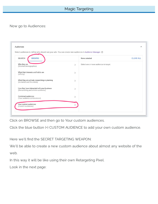## Now go to Audiences:

| <b>SEARCH</b><br><b>BROWSE</b>                                                     |                              | None selected                           | <b>CLEAR ALL</b> |
|------------------------------------------------------------------------------------|------------------------------|-----------------------------------------|------------------|
| Who they are<br>(Detailed demographics)                                            | $\mathcal{P}$                | Select one or more audiences to target. |                  |
| What their interests and habits are<br>(Affinity)                                  | $\rightarrow$                |                                         |                  |
| What they are actively researching or planning<br>(In-market and life events)      | $\left\langle \right\rangle$ |                                         |                  |
| How they have interacted with your business<br>(Remarketing and similar audiences) | $\rightarrow$                |                                         |                  |
| Combined audiences<br>(Your audience combinations)                                 | ⋟                            |                                         |                  |

Click on BROWSE and then go to Your custom audiences.

Click the blue button (+) CUSTOM AUDIENCE to add your own custom audience.

Here we'll find the SECRET TARGETING WEAPON:

We'll be able to create a new custom audience about almost any website of the web.

In this way it will be like using their own Retargeting Pixel.

Look in the next page: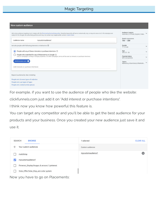| <b>New custom audience</b> |  |
|----------------------------|--|

|                                      | Ads using audience targeting must comply with the Personalized advertising policy. Sensitive keywords will serve contextually only, or may not serve at all. All campaigns are<br>subject to the Google Ads advertising policies and may not contain any inappropriate content. Learn more | Audience insights<br>$\checkmark$<br>Australia (+3 more), English, Video |
|--------------------------------------|--------------------------------------------------------------------------------------------------------------------------------------------------------------------------------------------------------------------------------------------------------------------------------------------|--------------------------------------------------------------------------|
| Audience name                        | mycustomaudience1                                                                                                                                                                                                                                                                          | Weekly impressions<br>$1M - 5M$                                          |
|                                      | Include people with following interests or behaviors 2                                                                                                                                                                                                                                     | Gender<br>71% male                                                       |
| $\circ$                              | People with any of these interests or purchase intentions $\circledcirc$                                                                                                                                                                                                                   | Age<br>$36\%$ 25 - 34                                                    |
|                                      | People who searched for any of these terms on Google $\circledcirc$<br>Only on campaigns running on Google properties. On other campaigns, terms will be used as interests or purchase intentions.                                                                                         | Parental status<br>68% non-parents                                       |
| clickfunnels.com                     |                                                                                                                                                                                                                                                                                            | Topics<br>Marketing, Advertising & Marketin                              |
| Add interests or purchase intentions |                                                                                                                                                                                                                                                                                            |                                                                          |
| Expand audience by also including:   |                                                                                                                                                                                                                                                                                            |                                                                          |
| People who browse types of websites  |                                                                                                                                                                                                                                                                                            |                                                                          |
| People who use types of apps         |                                                                                                                                                                                                                                                                                            |                                                                          |
| People who visited certain places    |                                                                                                                                                                                                                                                                                            |                                                                          |

For example, if you want to use the audience of people who like the website:

clickfunnels.com just add it on "Add interest or purchase intentions".

I think now you know how powerful this feature is.

You can target any competitor and you'll be able to get the best audience for your products and your business. Once you created your new audience just save it and use it.

|                          | <b>SEARCH</b><br><b>BROWSE</b>                                                            | 1 selected        | <b>CLEAR ALL</b> |
|--------------------------|-------------------------------------------------------------------------------------------|-------------------|------------------|
| $\overline{\phantom{m}}$ | Your custom audiences                                                                     | Custom audiences  |                  |
|                          | mailchimp                                                                                 | mycustomaudience1 | (x               |
| $\checkmark$             | mycustomaudience1                                                                         |                   |                  |
|                          | Pinterest_Display:Gruppo di annunci 1:pinterest                                           |                   |                  |
|                          | Solar_Offer:Solar_Disp_ann:solar system                                                   |                   |                  |
| ALC: UNK                 | the contract of the contract of the contract of the contract of the contract of<br>$\sim$ |                   |                  |

Now you have to go on Placements: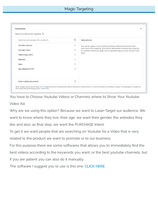| Select your placement targeting @        |                              |                                                                                                                                                                 |
|------------------------------------------|------------------------------|-----------------------------------------------------------------------------------------------------------------------------------------------------------------|
| Search by word, phrase, URL, or video ID | Q                            | None selected                                                                                                                                                   |
| YouTube channels                         | $\left\langle \right\rangle$ | Your ad can appear on any YouTube or Display Network placements that                                                                                            |
| YouTube videos                           | >                            | match your other targeting. Add specific placements to narrow your targeting.<br>If a specific website you target has an equivalent app, your ads can also show |
| Video lineups (881)                      |                              | there.                                                                                                                                                          |
| Websites                                 | >                            |                                                                                                                                                                 |
| Apps                                     | Y.                           |                                                                                                                                                                 |
| App categories (141)                     | Y.                           |                                                                                                                                                                 |
| Enter multiple placements                | $^{+}$                       |                                                                                                                                                                 |

You have to Choose Youtube Videos or Channels where to Show Your Youtube Video Ad.

Why are we using this option? Because we want to Laser-Target our audience. We want to know where they live, their age, we want their gender, the websites they like and also, as final step, we want the PURCHASE Intent.

To get it we want people that are searching on Youtube for a Video that is very related to the product we want to promote or to our business.

For this purpose there are some softwares that allows you to immediately find the best videos according to the keywords you want, or the best youtube channels, but if you are patient you can also do it manually .

The software I suggest you to use is this one: [CLICK HERE](https://warriorplus.com/o2/a/nfdft/0)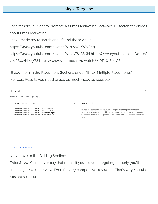For example, if I want to promote an Email Marketing Software, I'll search for Vidoes about Email Marketing.

I have made my research and I found these ones:

https://www.youtube.com/watch?v=hWyA\_OGySpg

https://www.youtube.com/watch?v=slAT81S6KhI https://www.youtube.com/watch?

v=9RS4WH0VyB8 https://www.youtube.com/watch?v=DFzOl821-A8

I'll add them in the Placement Sections under: "Enter Multiple Placements"

(For best Results you need to add as much video as possible)

### Placements

Select your placement targeting 7

| Enter multiple placements                                                                                                                                                                | $\times$ | None selected                                                                                                                                                                                                                                     |
|------------------------------------------------------------------------------------------------------------------------------------------------------------------------------------------|----------|---------------------------------------------------------------------------------------------------------------------------------------------------------------------------------------------------------------------------------------------------|
| https://www.youtube.com/watch?v=hWyA_OGySpg<br>https://www.youtube.com/watch?v=slAT81S6Khl<br>https://www.youtube.com/watch?v=9RS4WH0VyB8<br>https://www.youtube.com/watch?v=DFzOl821-A8 |          | Your ad can appear on any YouTube or Display Network placements that<br>match your other targeting. Add specific placements to narrow your targeting.<br>If a specific website you target has an equivalent app, your ads can also show<br>there. |
|                                                                                                                                                                                          |          |                                                                                                                                                                                                                                                   |
|                                                                                                                                                                                          |          |                                                                                                                                                                                                                                                   |
|                                                                                                                                                                                          |          |                                                                                                                                                                                                                                                   |
| <b>ADD 4 PLACEMENTS</b>                                                                                                                                                                  |          |                                                                                                                                                                                                                                                   |

Now move to the Bidding Section:

Enter \$0.20. You'll never pay that much. If you did your targeting properly you'll usually get \$0.02 per view. Even for very competitive keywords. That's why Youtube Ads are so special.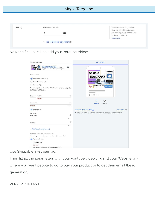| Bidding | Maximum CPV bid                             | Your Maximum CPV (cost-per-<br>view) bid is the highest amount            |  |
|---------|---------------------------------------------|---------------------------------------------------------------------------|--|
|         | 0.20                                        | you're willing to pay for someone<br>to view your video ad.<br>Learn more |  |
|         | $\vee$ Top content bid adjustment $\oslash$ |                                                                           |  |

Now the final part is to add your Youtube Video:

| Your YouTube Video                                                                                                                                                                   |            | <b>ON YOUTUBE</b>                                                                    |
|--------------------------------------------------------------------------------------------------------------------------------------------------------------------------------------|------------|--------------------------------------------------------------------------------------|
| <b>ONLINATED</b><br><b>Unlimited Autoresponder</b><br>ANTINESPONDER <b>FOR</b><br>by Internet Marketing Lovers . 235 views<br>Only \$19 - No Limits. https://imarketinglove<br>00:21 | Ø          | $\circ$                                                                              |
| Video ad format<br>Skippable in stream ad 2<br>o                                                                                                                                     |            | UNLIMITED<br><b>AUTORESPONDER</b>                                                    |
| Video discovery ad 2                                                                                                                                                                 |            | Skip Ad H<br>ONLY \$19 ONE TIME PRICE!                                               |
| Bumper ad 2                                                                                                                                                                          |            | 00:21                                                                                |
| The following ad formats aren't available in this campaign: non-skippable<br>in-stream ad, outstream ad-                                                                             |            | <b>Internet Marketing Lovers</b><br><b>LEARN MORE</b><br>Оo<br><b>Disalay URI</b>    |
| http://<br>Final URL                                                                                                                                                                 | Ø          | $= 4! = A$<br>ıŵ                                                                     |
| Required                                                                                                                                                                             |            |                                                                                      |
|                                                                                                                                                                                      | $\odot$    |                                                                                      |
| Display URL                                                                                                                                                                          |            | Mobile<br>Desktop                                                                    |
| Required                                                                                                                                                                             | 0/255      |                                                                                      |
| Call-to-action                                                                                                                                                                       |            | PREVIEW AD ON YOUTUBE<br><b>COPY LINK</b><br>$\checkmark$                            |
| Call-to-action                                                                                                                                                                       |            | To preview your ad on YouTube mobile, copy the link and share it to a mobile device. |
| Learn More                                                                                                                                                                           | $\odot$    |                                                                                      |
|                                                                                                                                                                                      | 10/10      |                                                                                      |
| Headline                                                                                                                                                                             | $^{\circ}$ |                                                                                      |
|                                                                                                                                                                                      | 0/15       |                                                                                      |
|                                                                                                                                                                                      |            |                                                                                      |
| v Ad URL options (advanced)                                                                                                                                                          |            |                                                                                      |
| Companion banner (computers only) $\circledcirc$                                                                                                                                     |            |                                                                                      |
| Autogenerate using your channel banner (recommended)                                                                                                                                 |            |                                                                                      |
| $\odot$<br>Upload an image                                                                                                                                                           |            |                                                                                      |
| <b>CHOOSE FILE</b>                                                                                                                                                                   |            |                                                                                      |
| Required                                                                                                                                                                             |            |                                                                                      |
| Dimensions: 300x60 pixels. Maximum file size: 150KB.                                                                                                                                 |            |                                                                                      |

Use Skippable in-stream ad.

Then fill all the parameters with your youtube video link and your Website link where you want people to go to buy your product or to get their email (Lead generation).

VERY IMPORTANT: